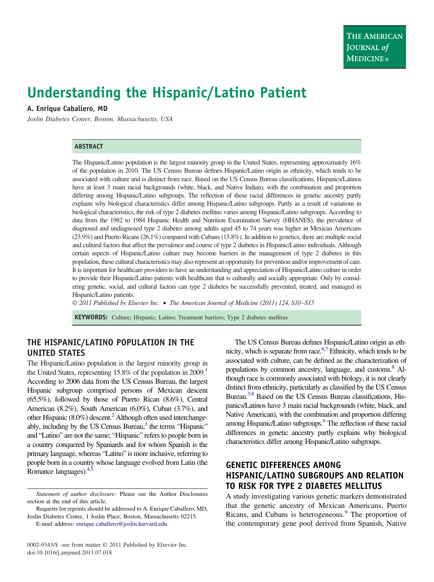# **Understanding the Hispanic/Latino Patient**

## **A. Enrique Caballero, MD**

*Joslin Diabetes Center, Boston, Massachusetts, USA*

### **ABSTRACT**

The Hispanic/Latino population is the largest minority group in the United States, representing approximately 16% of the population in 2010. The US Census Bureau defines Hispanic/Latino origin as ethnicity, which tends to be associated with culture and is distinct from race. Based on the US Census Bureau classifications, Hispanics/Latinos have at least 3 main racial backgrounds (white, black, and Native Indian), with the combination and proportion differing among Hispanic/Latino subgroups. The reflection of these racial differences in genetic ancestry partly explains why biological characteristics differ among Hispanic/Latino subgroups. Partly as a result of variations in biological characteristics, the risk of type 2 diabetes mellitus varies among Hispanic/Latino subgroups. According to data from the 1982 to 1984 Hispanic Health and Nutrition Examination Survey (HHANES), the prevalence of diagnosed and undiagnosed type 2 diabetes among adults aged 45 to 74 years was higher in Mexican Americans (23.9%) and Puerto Ricans (26.1%) compared with Cubans (15.8%). In addition to genetics, there are multiple social and cultural factors that affect the prevalence and course of type 2 diabetes in Hispanic/Latino individuals. Although certain aspects of Hispanic/Latino culture may become barriers in the management of type 2 diabetes in this population, these cultural characteristics may also represent an opportunity for prevention and/or improvement of care. It is important for healthcare providers to have an understanding and appreciation of Hispanic/Latino culture in order to provide their Hispanic/Latino patients with healthcare that is culturally and socially appropriate. Only by considering genetic, social, and cultural factors can type 2 diabetes be successfully prevented, treated, and managed in Hispanic/Latino patients.

*© 2011 Published by Elsevier Inc.* • *The American Journal of Medicine (2011) 124, S10–S15*

**KEYWORDS:** Culture; Hispanic; Latino; Treatment barriers; Type 2 diabetes mellitus

## **THE HISPANIC/LATINO POPULATION IN THE UNITED STATES**

The Hispanic/Latino population is the largest minority group in the United States, representing  $15.8\%$  of the population in  $2009$ .<sup>1</sup> According to 2006 data from the US Census Bureau, the largest Hispanic subgroup comprised persons of Mexican descent (65.5%), followed by those of Puerto Rican (8.6%), Central American (8.2%), South American (6.0%), Cuban (3.7%), and other Hispanic  $(8.0\%)$  descent.<sup>2</sup> Although often used interchangeably, including by the US Census Bureau, $<sup>3</sup>$  the terms "Hispanic"</sup> and "Latino" are not the same; "Hispanic" refers to people born in a country conquered by Spaniards and for whom Spanish is the primary language, whereas "Latino" is more inclusive, referring to people born in a country whose language evolved from Latin (the Romance languages)[.4,5](#page-4-3)

Requests for reprints should be addressed to A. Enrique Caballero, MD, Joslin Diabetes Center, 1 Joslin Place, Boston, Massachusetts 02215.

E-mail address: [enrique.caballero@joslin.harvard.edu.](mailto:enrique.caballero@joslin.harvard.edu)

The US Census Bureau defines Hispanic/Latino origin as ethnicity, which is separate from race.<sup>6,7</sup> Ethnicity, which tends to be associated with culture, can be defined as the characterization of populations by common ancestry, language, and customs.<sup>8</sup> Although race is commonly associated with biology, it is not clearly distinct from ethnicity, particularly as classified by the US Census Bureau[.3,8](#page-4-2) Based on the US Census Bureau classifications, Hispanics/Latinos have 3 main racial backgrounds (white, black, and Native American), with the combination and proportion differing among Hispanic/Latino subgroups.<sup>9</sup> The reflection of these racial differences in genetic ancestry partly explains why biological characteristics differ among Hispanic/Latino subgroups.

# **GENETIC DIFFERENCES AMONG HISPANIC/LATINO SUBGROUPS AND RELATION TO RISK FOR TYPE 2 DIABETES MELLITUS**

A study investigating various genetic markers demonstrated that the genetic ancestry of Mexican Americans, Puerto Ricans, and Cubans is heterogeneous.<sup>[9](#page-4-6)</sup> The proportion of the contemporary gene pool derived from Spanish, Native

*Statement of author disclosure:* Please see the Author Disclosures section at the end of this article.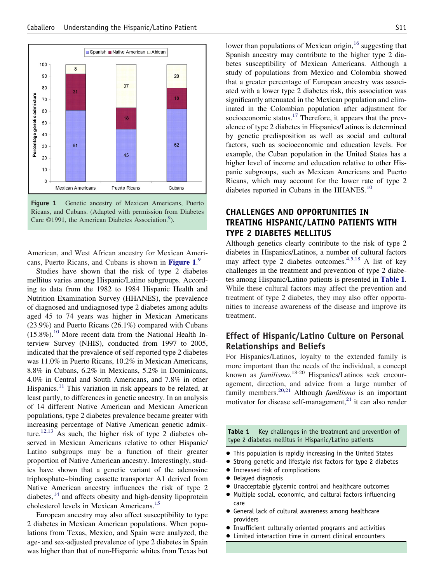

<span id="page-1-0"></span>Figure 1 Genetic ancestry of Mexican Americans, Puerto Ricans, and Cubans. (Adapted with permission from Diabetes Care ©1991, the American Diabetes Association.<sup>9</sup>).

American, and West African ancestry for Mexican Americans, Puerto Ricans, and Cubans is shown in **[Figure 1](#page-1-0)**. [9](#page-4-6)

Studies have shown that the risk of type 2 diabetes mellitus varies among Hispanic/Latino subgroups. According to data from the 1982 to 1984 Hispanic Health and Nutrition Examination Survey (HHANES), the prevalence of diagnosed and undiagnosed type 2 diabetes among adults aged 45 to 74 years was higher in Mexican Americans (23.9%) and Puerto Ricans (26.1%) compared with Cubans  $(15.8\%)$ .<sup>[10](#page-4-7)</sup> More recent data from the National Health Interview Survey (NHIS), conducted from 1997 to 2005, indicated that the prevalence of self-reported type 2 diabetes was 11.0% in Puerto Ricans, 10.2% in Mexican Americans, 8.8% in Cubans, 6.2% in Mexicans, 5.2% in Dominicans, 4.0% in Central and South Americans, and 7.8% in other Hispanics.<sup>11</sup> This variation in risk appears to be related, at least partly, to differences in genetic ancestry. In an analysis of 14 different Native American and Mexican American populations, type 2 diabetes prevalence became greater with increasing percentage of Native American genetic admixture.<sup>12,13</sup> As such, the higher risk of type 2 diabetes observed in Mexican Americans relative to other Hispanic/ Latino subgroups may be a function of their greater proportion of Native American ancestry. Interestingly, studies have shown that a genetic variant of the adenosine triphosphate– binding cassette transporter A1 derived from Native American ancestry influences the risk of type 2 diabetes, $^{14}$  $^{14}$  $^{14}$  and affects obesity and high-density lipoprotein cholesterol levels in Mexican Americans.[15](#page-4-11)

European ancestry may also affect susceptibility to type 2 diabetes in Mexican American populations. When populations from Texas, Mexico, and Spain were analyzed, the age- and sex-adjusted prevalence of type 2 diabetes in Spain was higher than that of non-Hispanic whites from Texas but lower than populations of Mexican origin,  $16$  suggesting that Spanish ancestry may contribute to the higher type 2 diabetes susceptibility of Mexican Americans. Although a study of populations from Mexico and Colombia showed that a greater percentage of European ancestry was associated with a lower type 2 diabetes risk, this association was significantly attenuated in the Mexican population and eliminated in the Colombian population after adjustment for socioeconomic status.<sup>17</sup> Therefore, it appears that the prevalence of type 2 diabetes in Hispanics/Latinos is determined by genetic predisposition as well as social and cultural factors, such as socioeconomic and education levels. For example, the Cuban population in the United States has a higher level of income and education relative to other Hispanic subgroups, such as Mexican Americans and Puerto Ricans, which may account for the lower rate of type 2 diabetes reported in Cubans in the HHANES.<sup>10</sup>

# **CHALLENGES AND OPPORTUNITIES IN TREATING HISPANIC/LATINO PATIENTS WITH TYPE 2 DIABETES MELLITUS**

Although genetics clearly contribute to the risk of type 2 diabetes in Hispanics/Latinos, a number of cultural factors may affect type 2 diabetes outcomes.<sup>[4,5,18](#page-4-3)</sup> A list of key challenges in the treatment and prevention of type 2 diabetes among Hispanic/Latino patients is presented in **[Table 1](#page-1-1)**. While these cultural factors may affect the prevention and treatment of type 2 diabetes, they may also offer opportunities to increase awareness of the disease and improve its treatment.

# **Effect of Hispanic/Latino Culture on Personal Relationships and Beliefs**

For Hispanics/Latinos, loyalty to the extended family is more important than the needs of the individual, a concept known as *familismo*. 18-20 Hispanics/Latinos seek encouragement, direction, and advice from a large number of family members[.20,21](#page-4-14) Although *familismo* is an important motivator for disease self-management, $^{21}$  it can also render

<span id="page-1-1"></span>**Table 1** Key challenges in the treatment and prevention of type 2 diabetes mellitus in Hispanic/Latino patients

- This population is rapidly increasing in the United States
- Strong genetic and lifestyle risk factors for type 2 diabetes
- Increased risk of complications
- Delayed diagnosis
- Unacceptable glycemic control and healthcare outcomes
- Multiple social, economic, and cultural factors influencing care
- General lack of cultural awareness among healthcare providers
- Insufficient culturally oriented programs and activities
- Limited interaction time in current clinical encounters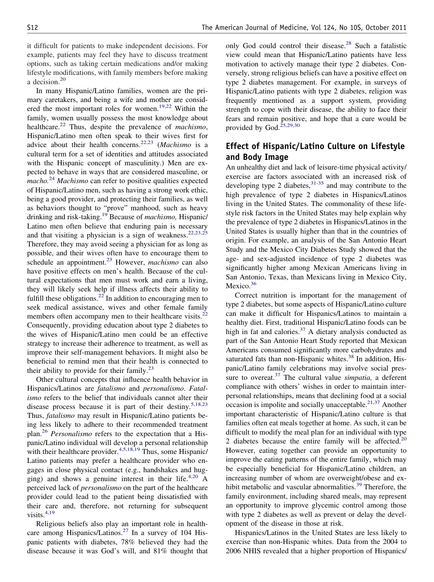it difficult for patients to make independent decisions. For example, patients may feel they have to discuss treatment options, such as taking certain medications and/or making lifestyle modifications, with family members before making a decision.<sup>[20](#page-4-14)</sup>

In many Hispanic/Latino families, women are the primary caretakers, and being a wife and mother are consid-ered the most important roles for women.<sup>[19,22](#page-4-16)</sup> Within the family, women usually possess the most knowledge about healthcare.[22](#page-4-17) Thus, despite the prevalence of *machismo*, Hispanic/Latino men often speak to their wives first for advice about their health concerns.[22,23](#page-4-17) (*Machismo* is a cultural term for a set of identities and attitudes associated with the Hispanic concept of masculinity.) Men are expected to behave in ways that are considered masculine, or *macho.*[24](#page-4-18) *Machismo* can refer to positive qualities expected of Hispanic/Latino men, such as having a strong work ethic, being a good provider, and protecting their families, as well as behaviors thought to "prove" manhood, such as heavy drinking and risk-taking[.19](#page-4-16) Because of *machismo,* Hispanic/ Latino men often believe that enduring pain is necessary and that visiting a physician is a sign of weakness.<sup>22,23,25</sup> Therefore, they may avoid seeing a physician for as long as possible, and their wives often have to encourage them to schedule an appointment.<sup>[23](#page-4-19)</sup> However, *machismo* can also have positive effects on men's health. Because of the cultural expectations that men must work and earn a living, they will likely seek help if illness affects their ability to fulfill these obligations.<sup>[22](#page-4-17)</sup> In addition to encouraging men to seek medical assistance, wives and other female family members often accompany men to their healthcare visits. $^{22}$  $^{22}$  $^{22}$ Consequently, providing education about type 2 diabetes to the wives of Hispanic/Latino men could be an effective strategy to increase their adherence to treatment, as well as improve their self-management behaviors. It might also be beneficial to remind men that their health is connected to their ability to provide for their family.<sup>[23](#page-4-19)</sup>

Other cultural concepts that influence health behavior in Hispanics/Latinos are *fatalismo* and *personalismo*. *Fatalismo* refers to the belief that individuals cannot alter their disease process because it is part of their destiny.<sup>5,18,23</sup> Thus, *fatalismo* may result in Hispanic/Latino patients being less likely to adhere to their recommended treatment plan.[26](#page-4-21) *Personalismo* refers to the expectation that a Hispanic/Latino individual will develop a personal relationship with their healthcare provider.  $4,5,18,19$  Thus, some Hispanic/ Latino patients may prefer a healthcare provider who engages in close physical contact (e.g., handshakes and hugging) and shows a genuine interest in their life.<sup>4,20</sup> A perceived lack of *personalismo* on the part of the healthcare provider could lead to the patient being dissatisfied with their care and, therefore, not returning for subsequent visits. $4,19$ 

Religious beliefs also play an important role in health-care among Hispanics/Latinos.<sup>[27](#page-4-22)</sup> In a survey of 104 Hispanic patients with diabetes, 78% believed they had the disease because it was God's will, and 81% thought that only God could control their disease.<sup>28</sup> Such a fatalistic view could mean that Hispanic/Latino patients have less motivation to actively manage their type 2 diabetes. Conversely, strong religious beliefs can have a positive effect on type 2 diabetes management. For example, in surveys of Hispanic/Latino patients with type 2 diabetes, religion was frequently mentioned as a support system, providing strength to cope with their disease, the ability to face their fears and remain positive, and hope that a cure would be provided by God.<sup>25,29,30</sup>

## **Effect of Hispanic/Latino Culture on Lifestyle and Body Image**

An unhealthy diet and lack of leisure-time physical activity/ exercise are factors associated with an increased risk of developing type 2 diabetes,  $31-35$  and may contribute to the high prevalence of type 2 diabetes in Hispanics/Latinos living in the United States. The commonality of these lifestyle risk factors in the United States may help explain why the prevalence of type 2 diabetes in Hispanics/Latinos in the United States is usually higher than that in the countries of origin. For example, an analysis of the San Antonio Heart Study and the Mexico City Diabetes Study showed that the age- and sex-adjusted incidence of type 2 diabetes was significantly higher among Mexican Americans living in San Antonio, Texas, than Mexicans living in Mexico City, Mexico.<sup>36</sup>

Correct nutrition is important for the management of type 2 diabetes, but some aspects of Hispanic/Latino culture can make it difficult for Hispanics/Latinos to maintain a healthy diet. First, traditional Hispanic/Latino foods can be high in fat and calories.<sup>37</sup> A dietary analysis conducted as part of the San Antonio Heart Study reported that Mexican Americans consumed significantly more carbohydrates and saturated fats than non-Hispanic whites.<sup>[38](#page-4-28)</sup> In addition, Hispanic/Latino family celebrations may involve social pressure to overeat[.37](#page-4-27) The cultural value *simpatia,* a deferent compliance with others' wishes in order to maintain interpersonal relationships, means that declining food at a social occasion is impolite and socially unacceptable. $2^{1,37}$  Another important characteristic of Hispanic/Latino culture is that families often eat meals together at home. As such, it can be difficult to modify the meal plan for an individual with type 2 diabetes because the entire family will be affected. $20$ However, eating together can provide an opportunity to improve the eating patterns of the entire family, which may be especially beneficial for Hispanic/Latino children, an increasing number of whom are overweight/obese and ex-hibit metabolic and vascular abnormalities.<sup>[39](#page-4-29)</sup> Therefore, the family environment, including shared meals, may represent an opportunity to improve glycemic control among those with type 2 diabetes as well as prevent or delay the development of the disease in those at risk.

Hispanics/Latinos in the United States are less likely to exercise than non-Hispanic whites. Data from the 2004 to 2006 NHIS revealed that a higher proportion of Hispanics/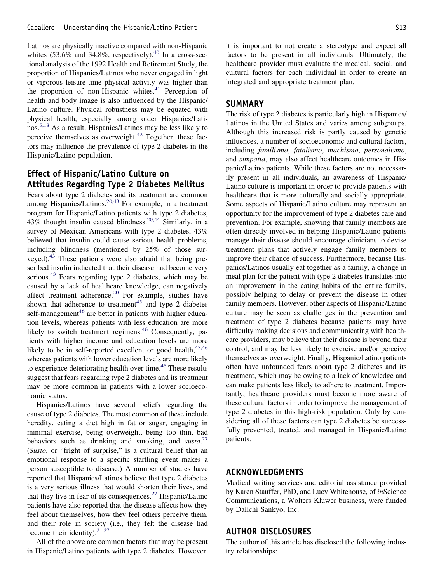Latinos are physically inactive compared with non-Hispanic whites  $(53.6\%$  and  $34.8\%$ , respectively).<sup>[40](#page-4-30)</sup> In a cross-sectional analysis of the 1992 Health and Retirement Study, the proportion of Hispanics/Latinos who never engaged in light or vigorous leisure-time physical activity was higher than the proportion of non-Hispanic whites. $41$  Perception of health and body image is also influenced by the Hispanic/ Latino culture. Physical robustness may be equated with physical health, especially among older Hispanics/Latinos[.5,18](#page-4-20) As a result, Hispanics/Latinos may be less likely to perceive themselves as overweight. $42$  Together, these factors may influence the prevalence of type 2 diabetes in the Hispanic/Latino population.

# **Effect of Hispanic/Latino Culture on Attitudes Regarding Type 2 Diabetes Mellitus**

Fears about type 2 diabetes and its treatment are common among Hispanics/Latinos.<sup>[20,43](#page-4-14)</sup> For example, in a treatment program for Hispanic/Latino patients with type 2 diabetes, 43% thought insulin caused blindness.  $20,44$  Similarly, in a survey of Mexican Americans with type 2 diabetes, 43% believed that insulin could cause serious health problems, including blindness (mentioned by 25% of those surveyed)[.43](#page-5-2) These patients were also afraid that being prescribed insulin indicated that their disease had become very serious.<sup>43</sup> Fears regarding type 2 diabetes, which may be caused by a lack of healthcare knowledge, can negatively affect treatment adherence.<sup>20</sup> For example, studies have shown that adherence to treatment<sup>45</sup> and type 2 diabetes self-management<sup>46</sup> are better in patients with higher education levels, whereas patients with less education are more likely to switch treatment regimens.<sup>46</sup> Consequently, patients with higher income and education levels are more likely to be in self-reported excellent or good health,  $45,46$ whereas patients with lower education levels are more likely to experience deteriorating health over time.<sup>[46](#page-5-4)</sup> These results suggest that fears regarding type 2 diabetes and its treatment may be more common in patients with a lower socioeconomic status.

Hispanics/Latinos have several beliefs regarding the cause of type 2 diabetes. The most common of these include heredity, eating a diet high in fat or sugar, engaging in minimal exercise, being overweight, being too thin, bad behaviors such as drinking and smoking, and *susto*. [27](#page-4-22) (*Susto*, or "fright of surprise," is a cultural belief that an emotional response to a specific startling event makes a person susceptible to disease.) A number of studies have reported that Hispanics/Latinos believe that type 2 diabetes is a very serious illness that would shorten their lives, and that they live in fear of its consequences.<sup>[27](#page-4-22)</sup> Hispanic/Latino patients have also reported that the disease affects how they feel about themselves, how they feel others perceive them, and their role in society (i.e., they felt the disease had become their identity). $21,27$ 

All of the above are common factors that may be present in Hispanic/Latino patients with type 2 diabetes. However, it is important to not create a stereotype and expect all factors to be present in all individuals. Ultimately, the healthcare provider must evaluate the medical, social, and cultural factors for each individual in order to create an integrated and appropriate treatment plan.

## **SUMMARY**

The risk of type 2 diabetes is particularly high in Hispanics/ Latinos in the United States and varies among subgroups. Although this increased risk is partly caused by genetic influences, a number of socioeconomic and cultural factors, including *familismo*, *fatalismo*, *machismo*, *personalismo*, and *simpatia*, may also affect healthcare outcomes in Hispanic/Latino patients. While these factors are not necessarily present in all individuals, an awareness of Hispanic/ Latino culture is important in order to provide patients with healthcare that is more culturally and socially appropriate. Some aspects of Hispanic/Latino culture may represent an opportunity for the improvement of type 2 diabetes care and prevention. For example, knowing that family members are often directly involved in helping Hispanic/Latino patients manage their disease should encourage clinicians to devise treatment plans that actively engage family members to improve their chance of success. Furthermore, because Hispanics/Latinos usually eat together as a family, a change in meal plan for the patient with type 2 diabetes translates into an improvement in the eating habits of the entire family, possibly helping to delay or prevent the disease in other family members. However, other aspects of Hispanic/Latino culture may be seen as challenges in the prevention and treatment of type 2 diabetes because patients may have difficulty making decisions and communicating with healthcare providers, may believe that their disease is beyond their control, and may be less likely to exercise and/or perceive themselves as overweight. Finally, Hispanic/Latino patients often have unfounded fears about type 2 diabetes and its treatment, which may be owing to a lack of knowledge and can make patients less likely to adhere to treatment. Importantly, healthcare providers must become more aware of these cultural factors in order to improve the management of type 2 diabetes in this high-risk population. Only by considering all of these factors can type 2 diabetes be successfully prevented, treated, and managed in Hispanic/Latino patients.

### **ACKNOWLEDGMENTS**

Medical writing services and editorial assistance provided by Karen Stauffer, PhD, and Lucy Whitehouse, of *in*Science Communications, a Wolters Kluwer business, were funded by Daiichi Sankyo, Inc.

## **AUTHOR DISCLOSURES**

The author of this article has disclosed the following industry relationships: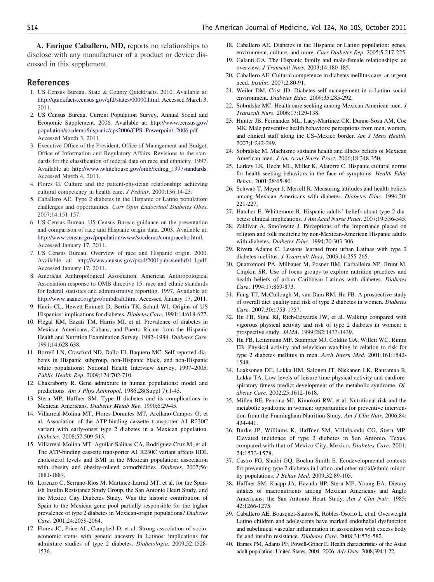**A. Enrique Caballero, MD,** reports no relationships to disclose with any manufacturer of a product or device discussed in this supplement.

#### <span id="page-4-0"></span>**References**

- 1. US Census Bureau. State & County QuickFacts. 2010. Available at: [http://quickfacts.census.gov/qfd/states/00000.html.](http://quickfacts.census.gov/qfd/states/00000.html) Accessed March 3, 2011.
- <span id="page-4-1"></span>2. US Census Bureau. Current Population Survey, Annual Social and Economic Supplement. 2006. Available at: [http://www.census.gov/](http://www.census.gov/population/socdemo/hispanic/cps2006/CPS_Powerpoint_2006.pdf) [population/socdemo/hispanic/cps2006/CPS\\_Powerpoint\\_2006.pdf.](http://www.census.gov/population/socdemo/hispanic/cps2006/CPS_Powerpoint_2006.pdf) Accessed March 3, 2011.
- <span id="page-4-2"></span>3. Executive Office of the President, Office of Management and Budget, Office of Information and Regulatory Affairs. Revisions to the standards for the classification of federal data on race and ethnicity. 1997. Available at: [http://www.whitehouse.gov/omb/fedreg\\_1997standards.](http://www.whitehouse.gov/omb/fedreg_1997standards) Accessed March 4, 2011.
- <span id="page-4-20"></span><span id="page-4-3"></span>4. Flores G. Culture and the patient-physician relationship: achieving cultural competency in health care. *J Pediatr*. 2000;136:14-23.
- 5. Caballero AE. Type 2 diabetes in the Hispanic or Latino population: challenges and opportunities. *Curr Opin Endocrinol Diabetes Obes*. 2007;14:151-157.
- <span id="page-4-4"></span>6. US Census Bureau. US Census Bureau guidance on the presentation and comparison of race and Hispanic origin data. 2003. Available at: [http://www.census.gov/population/www/socdemo/compraceho.html.](http://www.census.gov/population/www/socdemo/compraceho.html) Accessed January 17, 2011.
- 7. US Census Bureau. Overview of race and Hispanic origin. 2000. Available at: [http://www.census.gov/prod/2001pubs/cenbr01-1.pdf.](http://www.census.gov/prod/2001pubs/cenbr01-1.pdf) Accessed January 17, 2011.
- <span id="page-4-5"></span>8. American Anthropological Association. American Anthropological Association response to OMB directive 15: race and ethnic standards for federal statistics and administrative reporting. 1997. Available at: [http://www.aaanet.org/gvt/ombdraft.htm.](http://www.aaanet.org/gvt/ombdraft.htm) Accessed January 17, 2011.
- <span id="page-4-7"></span><span id="page-4-6"></span>9. Hanis CL, Hewett-Emmett D, Bertin TK, Schull WJ. Origins of US Hispanics: implications for diabetes. *Diabetes Care*. 1991;14:618-627.
- 10. Flegal KM, Ezzati TM, Harris MI, et al. Prevalence of diabetes in Mexican Americans, Cubans, and Puerto Ricans from the Hispanic Health and Nutrition Examination Survey, 1982–1984. *Diabetes Care*. 1991;14:628-638.
- <span id="page-4-8"></span>11. Borrell LN, Crawford ND, Dallo FJ, Baquero MC. Self-reported diabetes in Hispanic subgroup, non-Hispanic black, and non-Hispanic white populations: National Health Interview Survey, 1997–2005. *Public Health Rep*. 2009;124:702-710.
- <span id="page-4-9"></span>12. Chakraborty R. Gene admixture in human populations: model and predictions. *Am J Phys Anthropol*. 1986;28(Suppl 7):1-43.
- <span id="page-4-10"></span>13. Stern MP, Haffner SM. Type II diabetes and its complications in Mexican Americans. *Diabetes Metab Rev*. 1990;6:29-45.
- 14. Villarreal-Molina MT, Flores-Dorantes MT, Arellano-Campos O, et al. Association of the ATP-binding cassette transporter A1 R230C variant with early-onset type 2 diabetes in a Mexican population. *Diabetes*. 2008;57:509-513.
- <span id="page-4-11"></span>15. Villarreal-Molina MT, Aguilar-Salinas CA, Rodriguez-Cruz M, et al. The ATP-binding cassette transporter A1 R230C variant affects HDL cholesterol levels and BMI in the Mexican population: association with obesity and obesity-related comorbidities. *Diabetes*. 2007;56: 1881-1887.
- <span id="page-4-12"></span>16. Lorenzo C, Serrano-Rios M, Martinez-Larrad MT, et al, for the Spanish Insulin Resistance Study Group, the San Antonio Heart Study, and the Mexico City Diabetes Study. Was the historic contribution of Spain to the Mexican gene pool partially responsible for the higher prevalence of type 2 diabetes in Mexican-origin populations? *Diabetes Care*. 2001;24:2059-2064.
- <span id="page-4-13"></span>17. Florez JC, Price AL, Campbell D, et al. Strong association of socioeconomic status with genetic ancestry in Latinos: implications for admixture studies of type 2 diabetes. *Diabetologia*. 2009;52:1528- 1536.
- 18. Caballero AE. Diabetes in the Hispanic or Latino population: genes, environment, culture, and more. *Curr Diabetes Rep*. 2005;5:217-225.
- <span id="page-4-16"></span>19. Galanti GA. The Hispanic family and male-female relationships: an overview. *J Transcult Nurs*. 2003;14:180-185.
- <span id="page-4-15"></span><span id="page-4-14"></span>20. Caballero AE. Cultural competence in diabetes mellitus care: an urgent need. *Insulin*. 2007;2:80-91.
- <span id="page-4-17"></span>21. Weiler DM, Crist JD. Diabetes self-management in a Latino social environment. *Diabetes Educ*. 2009;35:285-292.
- <span id="page-4-19"></span>22. Sobralske MC. Health care seeking among Mexican American men. *J Transcult Nurs*. 2006;17:129-138.
- 23. Hunter JB, Fernandez ML, Lacy-Martinez CR, Dunne-Sosa AM, Coe MK. Male preventive health behaviors: perceptions from men, women, and clinical staff along the US–Mexico border. *Am J Mens Health*. 2007;1:242-249.
- <span id="page-4-24"></span><span id="page-4-18"></span>24. Sobralske M. Machismo sustains health and illness beliefs of Mexican American men. *J Am Acad Nurse Pract*. 2006;18:348-350.
- 25. Larkey LK, Hecht ML, Miller K, Alatorre C. Hispanic cultural norms for health-seeking behaviors in the face of symptoms. *Health Educ Behav*. 2001;28:65-80.
- <span id="page-4-21"></span>26. Schwab T, Meyer J, Merrell R. Measuring attitudes and health beliefs among Mexican Americans with diabetes. *Diabetes Educ*. 1994;20: 221-227.
- <span id="page-4-23"></span><span id="page-4-22"></span>27. Hatcher E, Whittemore R. Hispanic adults' beliefs about type 2 diabetes: clinical implications. *J Am Acad Nurse Pract*. 2007;19:536-545.
- 28. Zaldivar A, Smolowitz J. Perceptions of the importance placed on religion and folk medicine by non-Mexican-American Hispanic adults with diabetes. *Diabetes Educ*. 1994;20:303-306.
- 29. Rivera Adams C. Lessons learned from urban Latinas with type 2 diabetes mellitus. *J Transcult Nurs*. 2003;14:255-265.
- 30. Quatromoni PA, Milbauer M, Posner BM, Carballeira NP, Brunt M, Chipkin SR. Use of focus groups to explore nutrition practices and health beliefs of urban Caribbean Latinos with diabetes. *Diabetes Care*. 1994;17:869-873.
- <span id="page-4-25"></span>31. Fung TT, McCullough M, van Dam RM, Hu FB. A prospective study of overall diet quality and risk of type 2 diabetes in women. *Diabetes Care*. 2007;30:1753-1757.
- 32. Hu FB, Sigal RJ, Rich-Edwards JW, et al. Walking compared with vigorous physical activity and risk of type 2 diabetes in women: a prospective study. *JAMA*. 1999;282:1433-1439.
- 33. Hu FB, Leitzmann MF, Stampfer MJ, Colditz GA, Willett WC, Rimm EB. Physical activity and television watching in relation to risk for type 2 diabetes mellitus in men. *Arch Intern Med*. 2001;161:1542- 1548.
- 34. Laaksonen DE, Lakka HM, Salonen JT, Niskanen LK, Rauramaa R, Lakka TA. Low levels of leisure-time physical activity and cardiorespiratory fitness predict development of the metabolic syndrome. *Diabetes Care*. 2002;25:1612-1618.
- 35. Millen BE, Pencina MJ, Kimokoti RW, et al. Nutritional risk and the metabolic syndrome in women: opportunities for preventive intervention from the Framingham Nutrition Study. *Am J Clin Nutr*. 2006;84: 434-441.
- <span id="page-4-26"></span>36. Burke JP, Williams K, Haffner SM, Villalpando CG, Stern MP. Elevated incidence of type 2 diabetes in San Antonio, Texas, compared with that of Mexico City, Mexico. *Diabetes Care*. 2001; 24:1573-1578.
- <span id="page-4-27"></span>37. Castro FG, Shaibi GQ, Boehm-Smith E. Ecodevelopmental contexts for preventing type 2 diabetes in Latino and other racial/ethnic minority populations. *J Behav Med*. 2009;32:89-105.
- <span id="page-4-28"></span>38. Haffner SM, Knapp JA, Hazuda HP, Stern MP, Young EA. Dietary intakes of macronutrients among Mexican Americans and Anglo Americans: the San Antonio Heart Study. *Am J Clin Nutr*. 1985; 42:1266-1275.
- <span id="page-4-29"></span>39. Caballero AE, Bousquet-Santos K, Robles-Osorio L, et al. Overweight Latino children and adolescents have marked endothelial dysfunction and subclinical vascular inflammation in association with excess body fat and insulin resistance. *Diabetes Care*. 2008;31:576-582.
- <span id="page-4-30"></span>40. Barnes PM, Adams PF, Powell-Griner E. Health characteristics of the Asian adult population: United States, 2004–2006. *Adv Data*. 2008;394:1-22.